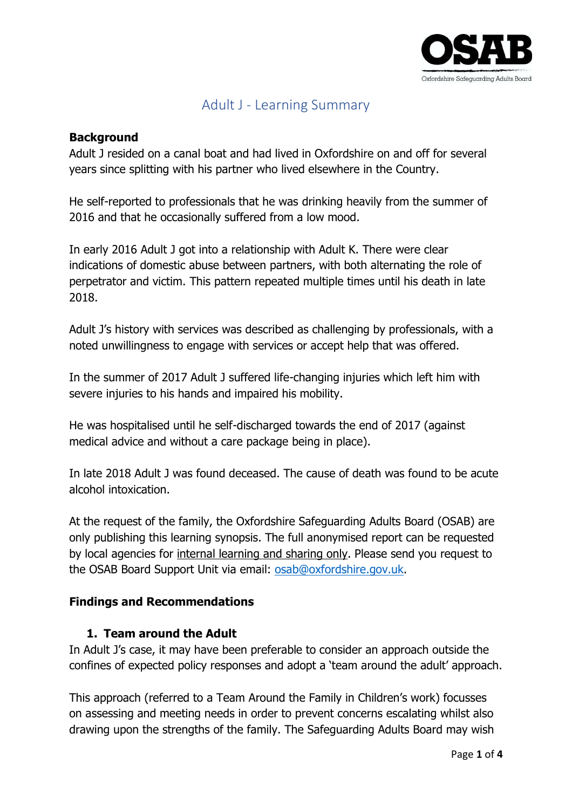

# Adult J - Learning Summary

#### **Background**

Adult J resided on a canal boat and had lived in Oxfordshire on and off for several years since splitting with his partner who lived elsewhere in the Country.

He self-reported to professionals that he was drinking heavily from the summer of 2016 and that he occasionally suffered from a low mood.

In early 2016 Adult J got into a relationship with Adult K. There were clear indications of domestic abuse between partners, with both alternating the role of perpetrator and victim. This pattern repeated multiple times until his death in late 2018.

Adult J's history with services was described as challenging by professionals, with a noted unwillingness to engage with services or accept help that was offered.

In the summer of 2017 Adult J suffered life-changing injuries which left him with severe injuries to his hands and impaired his mobility.

He was hospitalised until he self-discharged towards the end of 2017 (against medical advice and without a care package being in place).

In late 2018 Adult J was found deceased. The cause of death was found to be acute alcohol intoxication.

At the request of the family, the Oxfordshire Safeguarding Adults Board (OSAB) are only publishing this learning synopsis. The full anonymised report can be requested by local agencies for internal learning and sharing only. Please send you request to the OSAB Board Support Unit via email: [osab@oxfordshire.gov.uk.](mailto:osab@oxfordshire.gov.uk)

# **Findings and Recommendations**

#### **1. Team around the Adult**

In Adult J's case, it may have been preferable to consider an approach outside the confines of expected policy responses and adopt a 'team around the adult' approach.

This approach (referred to a Team Around the Family in Children's work) focusses on assessing and meeting needs in order to prevent concerns escalating whilst also drawing upon the strengths of the family. The Safeguarding Adults Board may wish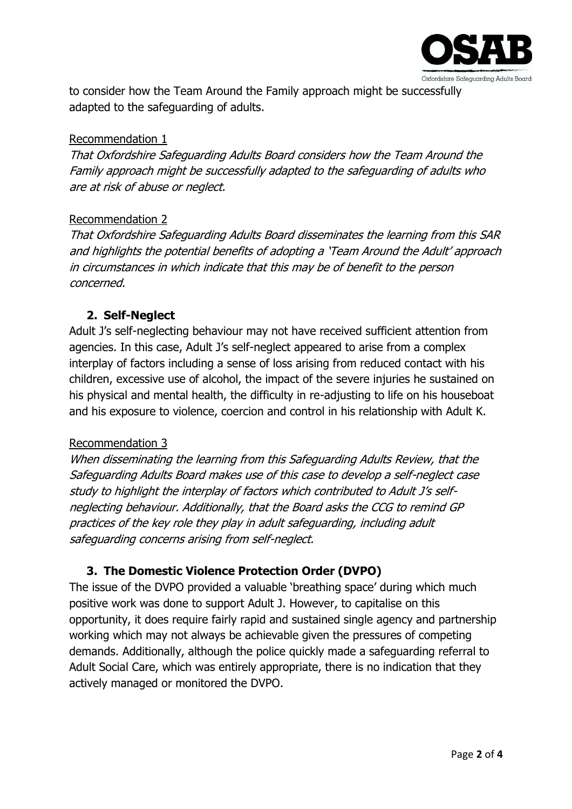

to consider how the Team Around the Family approach might be successfully adapted to the safeguarding of adults.

#### Recommendation 1

That Oxfordshire Safeguarding Adults Board considers how the Team Around the Family approach might be successfully adapted to the safeguarding of adults who are at risk of abuse or neglect.

#### Recommendation 2

That Oxfordshire Safeguarding Adults Board disseminates the learning from this SAR and highlights the potential benefits of adopting a 'Team Around the Adult' approach in circumstances in which indicate that this may be of benefit to the person concerned.

#### **2. Self-Neglect**

Adult J's self-neglecting behaviour may not have received sufficient attention from agencies. In this case, Adult J's self-neglect appeared to arise from a complex interplay of factors including a sense of loss arising from reduced contact with his children, excessive use of alcohol, the impact of the severe injuries he sustained on his physical and mental health, the difficulty in re-adjusting to life on his houseboat and his exposure to violence, coercion and control in his relationship with Adult K.

#### Recommendation 3

When disseminating the learning from this Safeguarding Adults Review, that the Safeguarding Adults Board makes use of this case to develop a self-neglect case study to highlight the interplay of factors which contributed to Adult J's selfneglecting behaviour. Additionally, that the Board asks the CCG to remind GP practices of the key role they play in adult safeguarding, including adult safeguarding concerns arising from self-neglect.

# **3. The Domestic Violence Protection Order (DVPO)**

The issue of the DVPO provided a valuable 'breathing space' during which much positive work was done to support Adult J. However, to capitalise on this opportunity, it does require fairly rapid and sustained single agency and partnership working which may not always be achievable given the pressures of competing demands. Additionally, although the police quickly made a safeguarding referral to Adult Social Care, which was entirely appropriate, there is no indication that they actively managed or monitored the DVPO.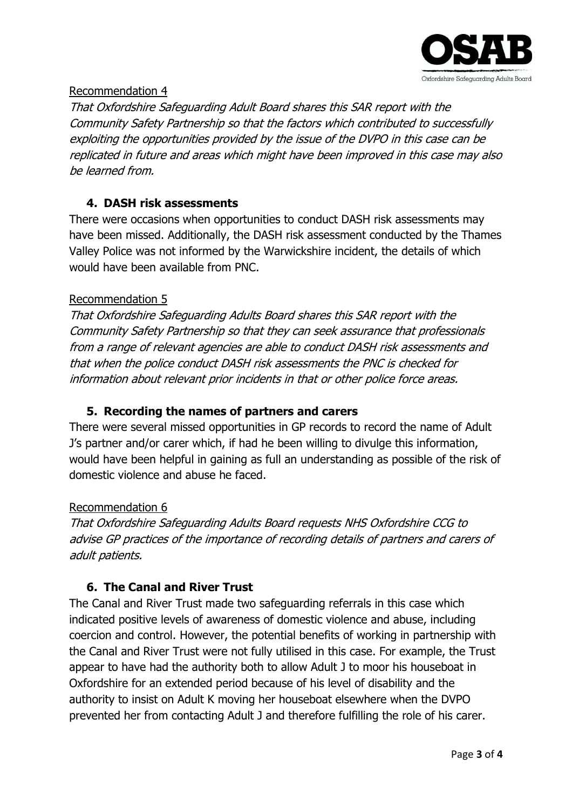

#### Recommendation 4

That Oxfordshire Safeguarding Adult Board shares this SAR report with the Community Safety Partnership so that the factors which contributed to successfully exploiting the opportunities provided by the issue of the DVPO in this case can be replicated in future and areas which might have been improved in this case may also be learned from.

#### **4. DASH risk assessments**

There were occasions when opportunities to conduct DASH risk assessments may have been missed. Additionally, the DASH risk assessment conducted by the Thames Valley Police was not informed by the Warwickshire incident, the details of which would have been available from PNC.

#### Recommendation 5

That Oxfordshire Safeguarding Adults Board shares this SAR report with the Community Safety Partnership so that they can seek assurance that professionals from a range of relevant agencies are able to conduct DASH risk assessments and that when the police conduct DASH risk assessments the PNC is checked for information about relevant prior incidents in that or other police force areas.

# **5. Recording the names of partners and carers**

There were several missed opportunities in GP records to record the name of Adult J's partner and/or carer which, if had he been willing to divulge this information, would have been helpful in gaining as full an understanding as possible of the risk of domestic violence and abuse he faced.

#### Recommendation 6

That Oxfordshire Safeguarding Adults Board requests NHS Oxfordshire CCG to advise GP practices of the importance of recording details of partners and carers of adult patients.

# **6. The Canal and River Trust**

The Canal and River Trust made two safeguarding referrals in this case which indicated positive levels of awareness of domestic violence and abuse, including coercion and control. However, the potential benefits of working in partnership with the Canal and River Trust were not fully utilised in this case. For example, the Trust appear to have had the authority both to allow Adult J to moor his houseboat in Oxfordshire for an extended period because of his level of disability and the authority to insist on Adult K moving her houseboat elsewhere when the DVPO prevented her from contacting Adult J and therefore fulfilling the role of his carer.